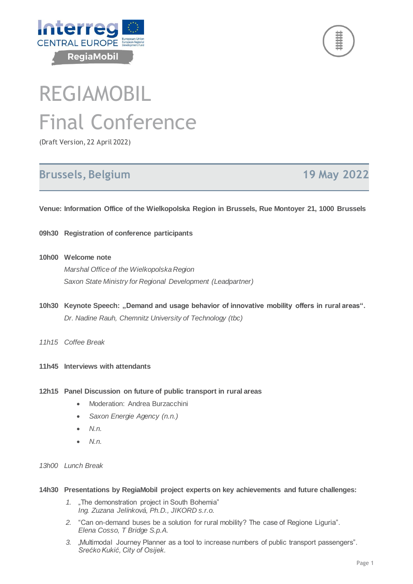



# REGIAMOBIL Final Conference

(Draft Version, 22 April 2022)

## **Brussels, Belgium 19 May 2022**

**Venue: Information Office of the Wielkopolska Region in Brussels, Rue Montoyer 21, 1000 Brussels**

- **09h30 Registration of conference participants**
- **10h00 Welcome note** *Marshal Office of the Wielkopolska Region Saxon State Ministry for Regional Development (Leadpartner)*
- 10h30 Keynote Speech: "Demand and usage behavior of innovative mobility offers in rural areas". *Dr. Nadine Rauh, Chemnitz University of Technology (tbc)*
- *11h15 Coffee Break*
- **11h45 Interviews with attendants**
- **12h15 Panel Discussion on future of public transport in rural areas**
	- Moderation: Andrea Burzacchini
	- *Saxon Energie Agency (n.n.)*
	- *N.n.*
	- *N.n.*
- *13h00 Lunch Break*

#### **14h30 Presentations by RegiaMobil project experts on key achievements and future challenges:**

- *1.* "The demonstration project in South Bohemia" *Ing. Zuzana Jelínková, Ph.D., JIKORD s.r.o.*
- *2.* "Can on-demand buses be a solution for rural mobility? The case of Regione Liguria". *Elena Cosso, T Bridge S.p.A.*
- *3. "*Multimodal Journey Planner as a tool to increase numbers of public transport passengers". *Srećko Kukić, City of Osijek.*